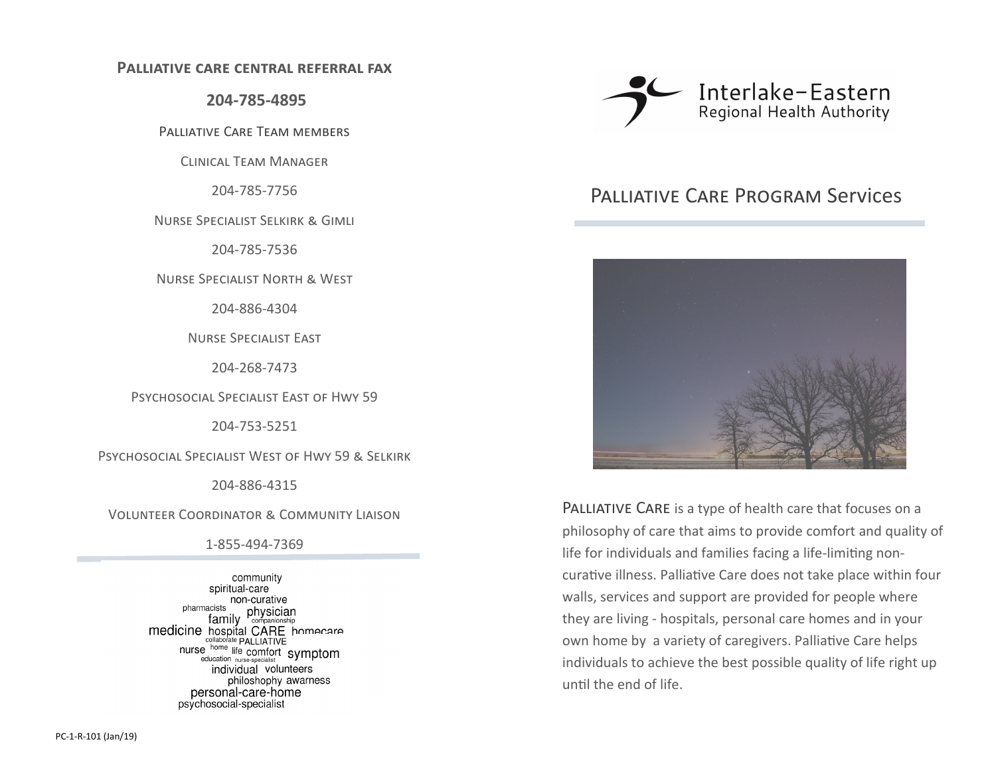#### **Palliative care central referral fax**

**204-785-4895**

Palliative Care Team members

Clinical Team Manager

204-785-7756

Nurse Specialist Selkirk & Gimli

204-785-7536

Nurse Specialist North & West

204-886-4304

Nurse Specialist East

204-268-7473

Psychosocial Specialist East of Hwy 59

204-753-5251

Psychosocial Specialist West of Hwy 59 & Selkirk

204-886-4315

Volunteer Coordinator & Community Liaison

1-855-494-7369

community spiritual-care non-curative pharmacists acists<br>family companionship medicine hospital CARE homecare nurse home life comfort<br>nurse home life comfort symptom<br>education nurse-specialist individual volunteers philoshophy awarness personal-care-home psychosocial-specialist



# Palliative Care Program Services



PALLIATIVE CARE is a type of health care that focuses on a philosophy of care that aims to provide comfort and quality of life for individuals and families facing a life-limiting noncurative illness. Palliative Care does not take place within four walls, services and support are provided for people where they are living - hospitals, personal care homes and in your own home by a variety of caregivers. Palliative Care helps individuals to achieve the best possible quality of life right up until the end of life.